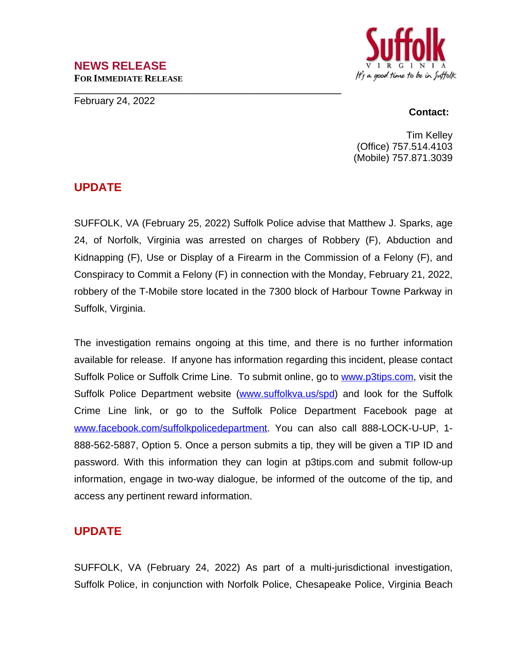### **NEWS RELEASE FOR IMMEDIATE RELEASE**

**\_\_\_\_\_\_\_\_\_\_\_\_\_\_\_\_\_\_\_\_\_\_\_\_\_\_\_\_\_\_\_\_\_\_\_\_\_\_\_\_\_\_\_\_\_\_\_\_\_\_\_\_\_\_**

February 24, 2022



#### **Contact:**

Tim Kelley (Office) 757.514.4103 (Mobile) 757.871.3039

## **UPDATE**

SUFFOLK, VA (February 25, 2022) Suffolk Police advise that Matthew J. Sparks, age 24, of Norfolk, Virginia was arrested on charges of Robbery (F), Abduction and Kidnapping (F), Use or Display of a Firearm in the Commission of a Felony (F), and Conspiracy to Commit a Felony (F) in connection with the Monday, February 21, 2022, robbery of the T-Mobile store located in the 7300 block of Harbour Towne Parkway in Suffolk, Virginia.

The investigation remains ongoing at this time, and there is no further information available for release. If anyone has information regarding this incident, please contact Suffolk Police or Suffolk Crime Line. To submit online, go to [www.p3tips.com](http://www.p3tips.com), visit the Suffolk Police Department website ([www.suffolkva.us/spd\)](http://www.suffolkva.us/spd) and look for the Suffolk Crime Line link, or go to the Suffolk Police Department Facebook page at [www.facebook.com/suffolkpolicedepartment](http://www.facebook.com/suffolkpolicedepartment). You can also call 888-LOCK-U-UP, 1-888-562-5887, Option 5. Once a person submits a tip, they will be given a TIP ID and password. With this information they can login at p3tips.com and submit follow-up information, engage in two-way dialogue, be informed of the outcome of the tip, and access any pertinent reward information.

# **UPDATE**

SUFFOLK, VA (February 24, 2022) As part of a multi-jurisdictional investigation, Suffolk Police, in conjunction with Norfolk Police, Chesapeake Police, Virginia Beach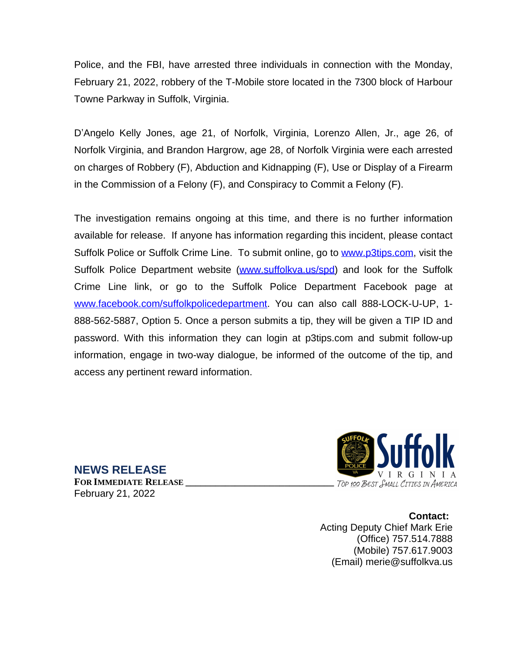Police, and the FBI, have arrested three individuals in connection with the Monday, February 21, 2022, robbery of the T-Mobile store located in the 7300 block of Harbour Towne Parkway in Suffolk, Virginia.

D'Angelo Kelly Jones, age 21, of Norfolk, Virginia, Lorenzo Allen, Jr., age 26, of Norfolk Virginia, and Brandon Hargrow, age 28, of Norfolk Virginia were each arrested on charges of Robbery (F), Abduction and Kidnapping (F), Use or Display of a Firearm in the Commission of a Felony (F), and Conspiracy to Commit a Felony (F).

The investigation remains ongoing at this time, and there is no further information available for release. If anyone has information regarding this incident, please contact Suffolk Police or Suffolk Crime Line. To submit online, go to [www.p3tips.com](http://www.p3tips.com), visit the Suffolk Police Department website ([www.suffolkva.us/spd\)](http://www.suffolkva.us/spd) and look for the Suffolk Crime Line link, or go to the Suffolk Police Department Facebook page at [www.facebook.com/suffolkpolicedepartment](http://www.facebook.com/suffolkpolicedepartment). You can also call 888-LOCK-U-UP, 1-888-562-5887, Option 5. Once a person submits a tip, they will be given a TIP ID and password. With this information they can login at p3tips.com and submit follow-up information, engage in two-way dialogue, be informed of the outcome of the tip, and access any pertinent reward information.



**Contact:** Acting Deputy Chief Mark Erie (Office) 757.514.7888 (Mobile) 757.617.9003 (Email) merie@suffolkva.us

**NEWS RELEASE**

**FOR IMMEDIATE RELEASE \_\_\_\_\_\_\_\_\_\_\_\_\_\_\_\_\_\_\_\_\_\_\_\_\_\_\_\_\_\_** February 21, 2022